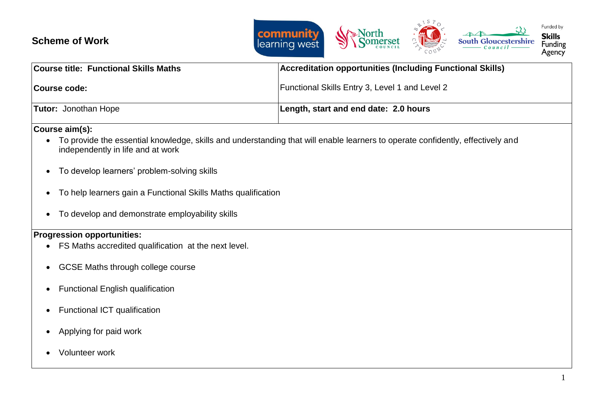## **Scheme of Work**



| <b>Course title: Functional Skills Maths</b> | <b>Accreditation opportunities (Including Functional Skills)</b> |
|----------------------------------------------|------------------------------------------------------------------|
| Course code:                                 | <b>Functional Skills Entry 3, Level 1 and Level 2</b>            |
| <b>Tutor:</b> Jonothan Hope                  | Length, start and end date: 2.0 hours                            |

**Course aim(s):** 

- To provide the essential knowledge, skills and understanding that will enable learners to operate confidently, effectively and independently in life and at work
- To develop learners' problem-solving skills
- To help learners gain a Functional Skills Maths qualification
- To develop and demonstrate employability skills

## **Progression opportunities:**

- FS Maths accredited qualification at the next level.
- GCSE Maths through college course
- Functional English qualification
- Functional ICT qualification
- Applying for paid work
- Volunteer work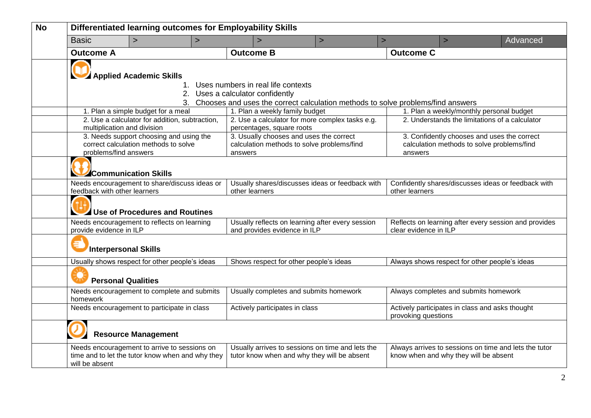| <b>No</b> | Differentiated learning outcomes for Employability Skills |                                                                                                  |         |                                                                                    |                                                                                                 |                                                                                |                                                     |                                                       |  |
|-----------|-----------------------------------------------------------|--------------------------------------------------------------------------------------------------|---------|------------------------------------------------------------------------------------|-------------------------------------------------------------------------------------------------|--------------------------------------------------------------------------------|-----------------------------------------------------|-------------------------------------------------------|--|
|           | <b>Basic</b>                                              | $\geq$                                                                                           | $\, >$  | $\, >$                                                                             | $\geq$                                                                                          | $\, > \,$                                                                      | $\, >$                                              | Advanced                                              |  |
|           | <b>Outcome A</b>                                          |                                                                                                  |         | <b>Outcome B</b>                                                                   |                                                                                                 | <b>Outcome C</b>                                                               |                                                     |                                                       |  |
|           | Applied Academic Skills                                   |                                                                                                  |         |                                                                                    |                                                                                                 |                                                                                |                                                     |                                                       |  |
|           |                                                           |                                                                                                  |         | 1. Uses numbers in real life contexts<br>2. Uses a calculator confidently          |                                                                                                 |                                                                                |                                                     |                                                       |  |
|           |                                                           |                                                                                                  |         | 3. Chooses and uses the correct calculation methods to solve problems/find answers |                                                                                                 |                                                                                |                                                     |                                                       |  |
|           |                                                           | 1. Plan a simple budget for a meal                                                               |         | 1. Plan a weekly family budget                                                     |                                                                                                 |                                                                                | 1. Plan a weekly/monthly personal budget            |                                                       |  |
|           | multiplication and division                               | 2. Use a calculator for addition, subtraction,                                                   |         | percentages, square roots                                                          | 2. Use a calculator for more complex tasks e.g.                                                 |                                                                                | 2. Understands the limitations of a calculator      |                                                       |  |
|           |                                                           | 3. Needs support choosing and using the                                                          |         | 3. Usually chooses and uses the correct                                            |                                                                                                 |                                                                                | 3. Confidently chooses and uses the correct         |                                                       |  |
|           |                                                           | correct calculation methods to solve                                                             |         | calculation methods to solve problems/find                                         |                                                                                                 |                                                                                | calculation methods to solve problems/find          |                                                       |  |
|           | problems/find answers                                     |                                                                                                  | answers |                                                                                    |                                                                                                 | answers                                                                        |                                                     |                                                       |  |
|           |                                                           | Communication Skills                                                                             |         |                                                                                    |                                                                                                 |                                                                                |                                                     |                                                       |  |
|           |                                                           | Needs encouragement to share/discuss ideas or                                                    |         | Usually shares/discusses ideas or feedback with                                    |                                                                                                 |                                                                                | Confidently shares/discusses ideas or feedback with |                                                       |  |
|           | feedback with other learners                              |                                                                                                  |         | other learners                                                                     |                                                                                                 | other learners                                                                 |                                                     |                                                       |  |
|           |                                                           | Use of Procedures and Routines                                                                   |         |                                                                                    |                                                                                                 |                                                                                |                                                     |                                                       |  |
|           | provide evidence in ILP                                   | Needs encouragement to reflects on learning                                                      |         | Usually reflects on learning after every session<br>and provides evidence in ILP   |                                                                                                 | Reflects on learning after every session and provides<br>clear evidence in ILP |                                                     |                                                       |  |
|           | <b>Interpersonal Skills</b>                               |                                                                                                  |         |                                                                                    |                                                                                                 |                                                                                |                                                     |                                                       |  |
|           |                                                           | Usually shows respect for other people's ideas                                                   |         | Shows respect for other people's ideas                                             |                                                                                                 |                                                                                | Always shows respect for other people's ideas       |                                                       |  |
|           | <b>Personal Qualities</b>                                 |                                                                                                  |         |                                                                                    |                                                                                                 |                                                                                |                                                     |                                                       |  |
|           | homework                                                  | Needs encouragement to complete and submits                                                      |         | Usually completes and submits homework                                             |                                                                                                 |                                                                                | Always completes and submits homework               |                                                       |  |
|           | Needs encouragement to participate in class               |                                                                                                  |         | Actively participates in class                                                     |                                                                                                 | Actively participates in class and asks thought<br>provoking questions         |                                                     |                                                       |  |
|           |                                                           | <b>Resource Management</b>                                                                       |         |                                                                                    |                                                                                                 |                                                                                |                                                     |                                                       |  |
|           | will be absent                                            | Needs encouragement to arrive to sessions on<br>time and to let the tutor know when and why they |         |                                                                                    | Usually arrives to sessions on time and lets the<br>tutor know when and why they will be absent |                                                                                | know when and why they will be absent               | Always arrives to sessions on time and lets the tutor |  |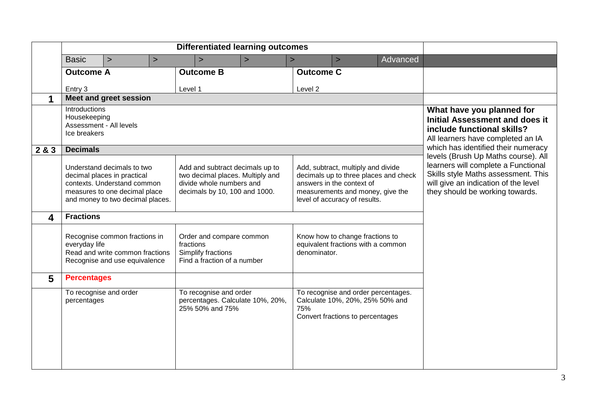|                         | <b>Basic</b>                                                                                                       | $\geq$                                                                                                                                                        | $\geq$ | $\mathbf{r}$                                                                                                                     | $\rightarrow$ | $\geq$           | $\geq$                                                                                                                               | Advanced                              |                                                                                                                                                       |
|-------------------------|--------------------------------------------------------------------------------------------------------------------|---------------------------------------------------------------------------------------------------------------------------------------------------------------|--------|----------------------------------------------------------------------------------------------------------------------------------|---------------|------------------|--------------------------------------------------------------------------------------------------------------------------------------|---------------------------------------|-------------------------------------------------------------------------------------------------------------------------------------------------------|
|                         | <b>Outcome A</b>                                                                                                   |                                                                                                                                                               |        | <b>Outcome B</b>                                                                                                                 |               | <b>Outcome C</b> |                                                                                                                                      |                                       |                                                                                                                                                       |
|                         | Entry 3                                                                                                            |                                                                                                                                                               |        | Level 1                                                                                                                          |               | Level 2          |                                                                                                                                      |                                       |                                                                                                                                                       |
|                         |                                                                                                                    | Meet and greet session                                                                                                                                        |        |                                                                                                                                  |               |                  |                                                                                                                                      |                                       |                                                                                                                                                       |
|                         | Introductions<br>Housekeeping<br>Ice breakers                                                                      | Assessment - All levels                                                                                                                                       |        |                                                                                                                                  |               |                  |                                                                                                                                      |                                       | What have you planned for<br><b>Initial Assessment and does it</b><br>include functional skills?<br>All learners have completed an IA                 |
| 2 & 3                   | <b>Decimals</b>                                                                                                    |                                                                                                                                                               |        |                                                                                                                                  |               |                  |                                                                                                                                      |                                       | which has identified their numeracy<br>levels (Brush Up Maths course). All                                                                            |
|                         |                                                                                                                    | Understand decimals to two<br>decimal places in practical<br>contexts. Understand common<br>measures to one decimal place<br>and money to two decimal places. |        | Add and subtract decimals up to<br>two decimal places. Multiply and<br>divide whole numbers and<br>decimals by 10, 100 and 1000. |               |                  | Add, subtract, multiply and divide<br>answers in the context of<br>measurements and money, give the<br>level of accuracy of results. | decimals up to three places and check | learners will complete a Functional<br>Skills style Maths assessment. This<br>will give an indication of the level<br>they should be working towards. |
| $\overline{\mathbf{4}}$ | <b>Fractions</b>                                                                                                   |                                                                                                                                                               |        |                                                                                                                                  |               |                  |                                                                                                                                      |                                       |                                                                                                                                                       |
|                         | Recognise common fractions in<br>everyday life<br>Read and write common fractions<br>Recognise and use equivalence |                                                                                                                                                               |        | Order and compare common<br>fractions<br>Simplify fractions<br>Find a fraction of a number                                       |               | denominator.     | Know how to change fractions to<br>equivalent fractions with a common                                                                |                                       |                                                                                                                                                       |
| 5                       | <b>Percentages</b>                                                                                                 |                                                                                                                                                               |        |                                                                                                                                  |               |                  |                                                                                                                                      |                                       |                                                                                                                                                       |
|                         | percentages                                                                                                        | To recognise and order                                                                                                                                        |        | To recognise and order<br>percentages. Calculate 10%, 20%,<br>25% 50% and 75%                                                    |               | 75%              | Calculate 10%, 20%, 25% 50% and<br>Convert fractions to percentages                                                                  | To recognise and order percentages.   |                                                                                                                                                       |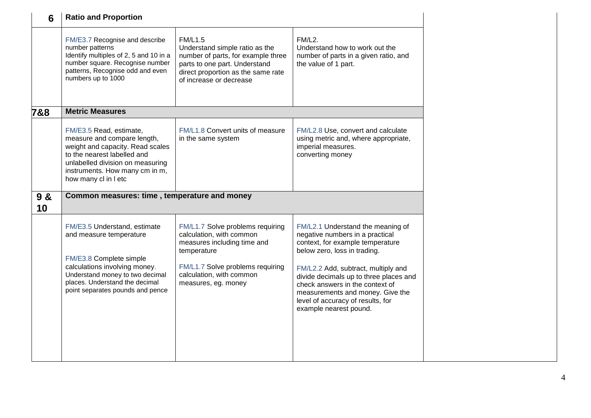| 6         | <b>Ratio and Proportion</b>                                                                                                                                                                                                  |                                                                                                                                                                                                   |                                                                                                                                                                                                                                                                                                                                                                 |
|-----------|------------------------------------------------------------------------------------------------------------------------------------------------------------------------------------------------------------------------------|---------------------------------------------------------------------------------------------------------------------------------------------------------------------------------------------------|-----------------------------------------------------------------------------------------------------------------------------------------------------------------------------------------------------------------------------------------------------------------------------------------------------------------------------------------------------------------|
|           | FM/E3.7 Recognise and describe<br>number patterns<br>Identify multiples of 2, 5 and 10 in a<br>number square. Recognise number<br>patterns, Recognise odd and even<br>numbers up to 1000                                     | <b>FM/L1.5</b><br>Understand simple ratio as the<br>number of parts, for example three<br>parts to one part. Understand<br>direct proportion as the same rate<br>of increase or decrease          | FM/L2.<br>Understand how to work out the<br>number of parts in a given ratio, and<br>the value of 1 part.                                                                                                                                                                                                                                                       |
| 7&8       | <b>Metric Measures</b>                                                                                                                                                                                                       |                                                                                                                                                                                                   |                                                                                                                                                                                                                                                                                                                                                                 |
|           | FM/E3.5 Read, estimate,<br>measure and compare length,<br>weight and capacity. Read scales<br>to the nearest labelled and<br>unlabelled division on measuring<br>instruments. How many cm in m,<br>how many cl in I etc      | FM/L1.8 Convert units of measure<br>in the same system                                                                                                                                            | FM/L2.8 Use, convert and calculate<br>using metric and, where appropriate,<br>imperial measures.<br>converting money                                                                                                                                                                                                                                            |
| 9 &<br>10 | Common measures: time, temperature and money                                                                                                                                                                                 |                                                                                                                                                                                                   |                                                                                                                                                                                                                                                                                                                                                                 |
|           | FM/E3.5 Understand, estimate<br>and measure temperature<br>FM/E3.8 Complete simple<br>calculations involving money.<br>Understand money to two decimal<br>places. Understand the decimal<br>point separates pounds and pence | FM/L1.7 Solve problems requiring<br>calculation, with common<br>measures including time and<br>temperature<br>FM/L1.7 Solve problems requiring<br>calculation, with common<br>measures, eg. money | FM/L2.1 Understand the meaning of<br>negative numbers in a practical<br>context, for example temperature<br>below zero, loss in trading.<br>FM/L2.2 Add, subtract, multiply and<br>divide decimals up to three places and<br>check answers in the context of<br>measurements and money. Give the<br>level of accuracy of results, for<br>example nearest pound. |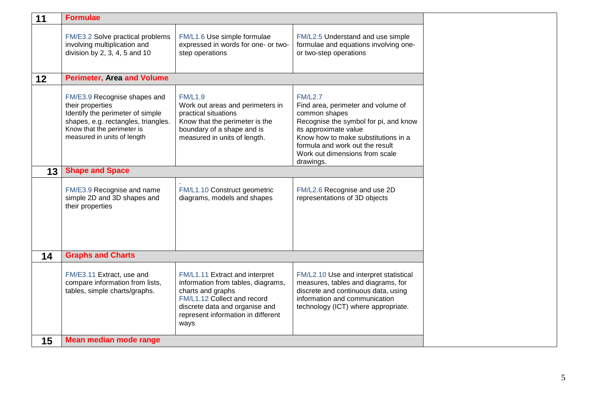| 11 | <b>Formulae</b>                                                                                                                                                                          |                                                                                                                                                                                                          |                                                                                                                                                                                                                                                                  |
|----|------------------------------------------------------------------------------------------------------------------------------------------------------------------------------------------|----------------------------------------------------------------------------------------------------------------------------------------------------------------------------------------------------------|------------------------------------------------------------------------------------------------------------------------------------------------------------------------------------------------------------------------------------------------------------------|
|    | FM/E3.2 Solve practical problems<br>involving multiplication and<br>division by $2, 3, 4, 5$ and $10$                                                                                    | FM/L1.6 Use simple formulae<br>expressed in words for one- or two-<br>step operations                                                                                                                    | FM/L2.5 Understand and use simple<br>formulae and equations involving one-<br>or two-step operations                                                                                                                                                             |
| 12 | <b>Perimeter, Area and Volume</b>                                                                                                                                                        |                                                                                                                                                                                                          |                                                                                                                                                                                                                                                                  |
|    | FM/E3.9 Recognise shapes and<br>their properties<br>Identify the perimeter of simple<br>shapes, e.g. rectangles, triangles.<br>Know that the perimeter is<br>measured in units of length | <b>FM/L1.9</b><br>Work out areas and perimeters in<br>practical situations<br>Know that the perimeter is the<br>boundary of a shape and is<br>measured in units of length.                               | <b>FM/L2.7</b><br>Find area, perimeter and volume of<br>common shapes<br>Recognise the symbol for pi, and know<br>its approximate value<br>Know how to make substitutions in a<br>formula and work out the result<br>Work out dimensions from scale<br>drawings. |
| 13 | <b>Shape and Space</b>                                                                                                                                                                   |                                                                                                                                                                                                          |                                                                                                                                                                                                                                                                  |
|    | FM/E3.9 Recognise and name<br>simple 2D and 3D shapes and<br>their properties                                                                                                            | FM/L1.10 Construct geometric<br>diagrams, models and shapes                                                                                                                                              | FM/L2.6 Recognise and use 2D<br>representations of 3D objects                                                                                                                                                                                                    |
| 14 | <b>Graphs and Charts</b>                                                                                                                                                                 |                                                                                                                                                                                                          |                                                                                                                                                                                                                                                                  |
|    | FM/E3.11 Extract, use and<br>compare information from lists,<br>tables, simple charts/graphs.                                                                                            | FM/L1.11 Extract and interpret<br>information from tables, diagrams,<br>charts and graphs<br>FM/L1.12 Collect and record<br>discrete data and organise and<br>represent information in different<br>ways | FM/L2.10 Use and interpret statistical<br>measures, tables and diagrams, for<br>discrete and continuous data, using<br>information and communication<br>technology (ICT) where appropriate.                                                                      |
| 15 | <b>Mean median mode range</b>                                                                                                                                                            |                                                                                                                                                                                                          |                                                                                                                                                                                                                                                                  |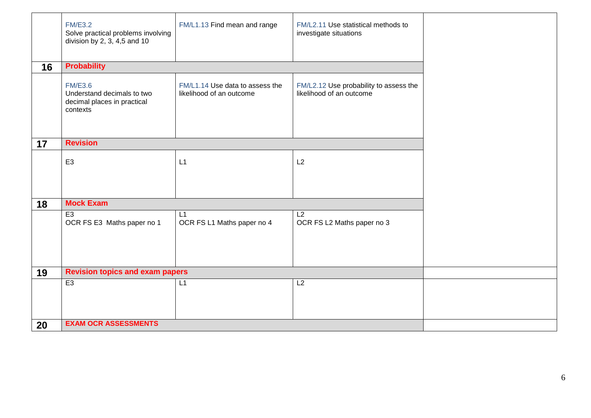|    | <b>FM/E3.2</b><br>Solve practical problems involving<br>division by 2, 3, 4,5 and 10    | FM/L1.13 Find mean and range                                | FM/L2.11 Use statistical methods to<br>investigate situations      |  |
|----|-----------------------------------------------------------------------------------------|-------------------------------------------------------------|--------------------------------------------------------------------|--|
| 16 | <b>Probability</b>                                                                      |                                                             |                                                                    |  |
|    | <b>FM/E3.6</b><br>Understand decimals to two<br>decimal places in practical<br>contexts | FM/L1.14 Use data to assess the<br>likelihood of an outcome | FM/L2.12 Use probability to assess the<br>likelihood of an outcome |  |
| 17 | <b>Revision</b>                                                                         |                                                             |                                                                    |  |
|    | E <sub>3</sub>                                                                          | L1                                                          | L2                                                                 |  |
|    |                                                                                         |                                                             |                                                                    |  |
| 18 | <b>Mock Exam</b>                                                                        |                                                             |                                                                    |  |
|    | E <sub>3</sub><br>OCR FS E3 Maths paper no 1                                            | L1<br>OCR FS L1 Maths paper no 4                            | L2<br>OCR FS L2 Maths paper no 3                                   |  |
| 19 | <b>Revision topics and exam papers</b>                                                  |                                                             |                                                                    |  |
|    | E3                                                                                      | L1                                                          | L2                                                                 |  |
| 20 | <b>EXAM OCR ASSESSMENTS</b>                                                             |                                                             |                                                                    |  |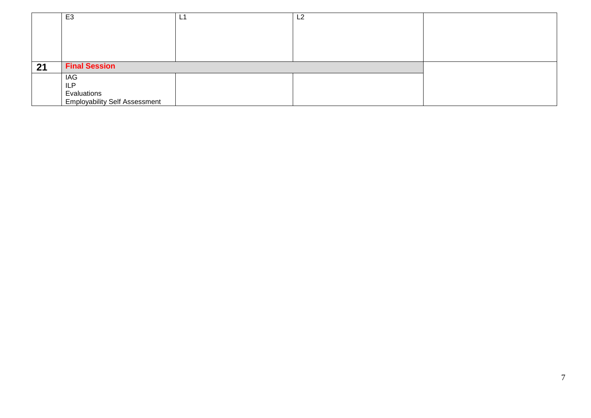|    | E <sub>3</sub>                       | - | L2 |  |
|----|--------------------------------------|---|----|--|
|    |                                      |   |    |  |
|    |                                      |   |    |  |
|    |                                      |   |    |  |
|    |                                      |   |    |  |
|    | <b>Final Session</b>                 |   |    |  |
| 21 |                                      |   |    |  |
|    | <b>IAG</b>                           |   |    |  |
|    | <b>ILP</b>                           |   |    |  |
|    | Evaluations                          |   |    |  |
|    | <b>Employability Self Assessment</b> |   |    |  |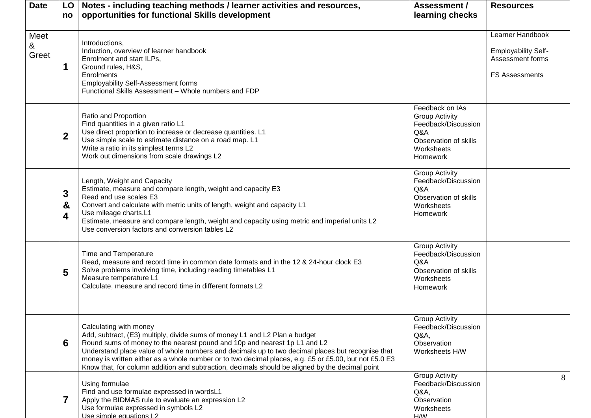| <b>Date</b>        | LO<br>no         | Notes - including teaching methods / learner activities and resources,<br>opportunities for functional Skills development                                                                                                                                                                                                                                                                                                                                                                         | Assessment /<br>learning checks                                                                                                  | <b>Resources</b>                                                                            |
|--------------------|------------------|---------------------------------------------------------------------------------------------------------------------------------------------------------------------------------------------------------------------------------------------------------------------------------------------------------------------------------------------------------------------------------------------------------------------------------------------------------------------------------------------------|----------------------------------------------------------------------------------------------------------------------------------|---------------------------------------------------------------------------------------------|
| Meet<br>&<br>Greet | 1                | Introductions,<br>Induction, overview of learner handbook<br>Enrolment and start ILPs,<br>Ground rules, H&S,<br>Enrolments<br><b>Employability Self-Assessment forms</b><br>Functional Skills Assessment - Whole numbers and FDP                                                                                                                                                                                                                                                                  |                                                                                                                                  | Learner Handbook<br><b>Employability Self-</b><br>Assessment forms<br><b>FS Assessments</b> |
|                    | $\boldsymbol{2}$ | Ratio and Proportion<br>Find quantities in a given ratio L1<br>Use direct proportion to increase or decrease quantities. L1<br>Use simple scale to estimate distance on a road map. L1<br>Write a ratio in its simplest terms L2<br>Work out dimensions from scale drawings L2                                                                                                                                                                                                                    | Feedback on IAs<br><b>Group Activity</b><br>Feedback/Discussion<br>Q&A<br>Observation of skills<br>Worksheets<br><b>Homework</b> |                                                                                             |
|                    | 3<br>&<br>4      | Length, Weight and Capacity<br>Estimate, measure and compare length, weight and capacity E3<br>Read and use scales E3<br>Convert and calculate with metric units of length, weight and capacity L1<br>Use mileage charts.L1<br>Estimate, measure and compare length, weight and capacity using metric and imperial units L2<br>Use conversion factors and conversion tables L2                                                                                                                    | <b>Group Activity</b><br>Feedback/Discussion<br>Q&A<br>Observation of skills<br>Worksheets<br><b>Homework</b>                    |                                                                                             |
|                    | 5                | Time and Temperature<br>Read, measure and record time in common date formats and in the 12 & 24-hour clock E3<br>Solve problems involving time, including reading timetables L1<br>Measure temperature L1<br>Calculate, measure and record time in different formats L2                                                                                                                                                                                                                           | <b>Group Activity</b><br>Feedback/Discussion<br>Q&A<br>Observation of skills<br>Worksheets<br><b>Homework</b>                    |                                                                                             |
|                    | 6                | Calculating with money<br>Add, subtract, (E3) multiply, divide sums of money L1 and L2 Plan a budget<br>Round sums of money to the nearest pound and 10p and nearest 1p L1 and L2<br>Understand place value of whole numbers and decimals up to two decimal places but recognise that<br>money is written either as a whole number or to two decimal places, e.g. £5 or £5.00, but not £5.0 E3<br>Know that, for column addition and subtraction, decimals should be aligned by the decimal point | <b>Group Activity</b><br>Feedback/Discussion<br>Q&A<br>Observation<br>Worksheets H/W                                             |                                                                                             |
|                    | $\overline{7}$   | Using formulae<br>Find and use formulae expressed in wordsL1<br>Apply the BIDMAS rule to evaluate an expression L2<br>Use formulae expressed in symbols L2<br>Use simple equations L2                                                                                                                                                                                                                                                                                                             | <b>Group Activity</b><br>Feedback/Discussion<br>Q&A<br>Observation<br>Worksheets<br><b>HW</b>                                    | 8                                                                                           |